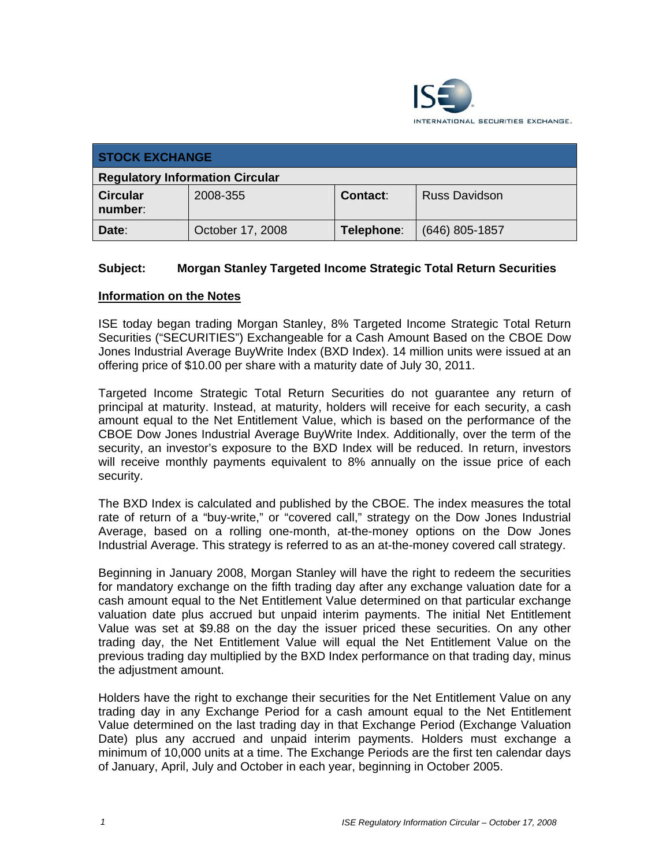

| <b>STOCK EXCHANGE</b>                  |                  |            |                      |  |
|----------------------------------------|------------------|------------|----------------------|--|
| <b>Regulatory Information Circular</b> |                  |            |                      |  |
| <b>Circular</b><br>number:             | 2008-355         | Contact:   | <b>Russ Davidson</b> |  |
| Date:                                  | October 17, 2008 | Telephone: | $(646)$ 805-1857     |  |

## **Subject: Morgan Stanley Targeted Income Strategic Total Return Securities**

## **Information on the Notes**

ISE today began trading Morgan Stanley, 8% Targeted Income Strategic Total Return Securities ("SECURITIES") Exchangeable for a Cash Amount Based on the CBOE Dow Jones Industrial Average BuyWrite Index (BXD Index). 14 million units were issued at an offering price of \$10.00 per share with a maturity date of July 30, 2011.

Targeted Income Strategic Total Return Securities do not guarantee any return of principal at maturity. Instead, at maturity, holders will receive for each security, a cash amount equal to the Net Entitlement Value, which is based on the performance of the CBOE Dow Jones Industrial Average BuyWrite Index. Additionally, over the term of the security, an investor's exposure to the BXD Index will be reduced. In return, investors will receive monthly payments equivalent to 8% annually on the issue price of each security.

The BXD Index is calculated and published by the CBOE. The index measures the total rate of return of a "buy-write," or "covered call," strategy on the Dow Jones Industrial Average, based on a rolling one-month, at-the-money options on the Dow Jones Industrial Average. This strategy is referred to as an at-the-money covered call strategy.

Beginning in January 2008, Morgan Stanley will have the right to redeem the securities for mandatory exchange on the fifth trading day after any exchange valuation date for a cash amount equal to the Net Entitlement Value determined on that particular exchange valuation date plus accrued but unpaid interim payments. The initial Net Entitlement Value was set at \$9.88 on the day the issuer priced these securities. On any other trading day, the Net Entitlement Value will equal the Net Entitlement Value on the previous trading day multiplied by the BXD Index performance on that trading day, minus the adjustment amount.

Holders have the right to exchange their securities for the Net Entitlement Value on any trading day in any Exchange Period for a cash amount equal to the Net Entitlement Value determined on the last trading day in that Exchange Period (Exchange Valuation Date) plus any accrued and unpaid interim payments. Holders must exchange a minimum of 10,000 units at a time. The Exchange Periods are the first ten calendar days of January, April, July and October in each year, beginning in October 2005.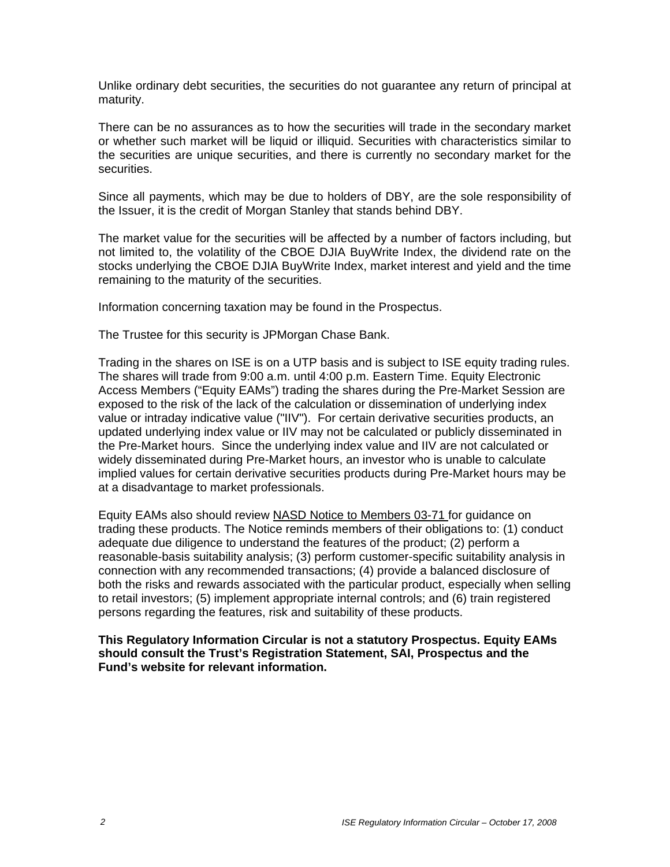Unlike ordinary debt securities, the securities do not guarantee any return of principal at maturity.

There can be no assurances as to how the securities will trade in the secondary market or whether such market will be liquid or illiquid. Securities with characteristics similar to the securities are unique securities, and there is currently no secondary market for the securities.

Since all payments, which may be due to holders of DBY, are the sole responsibility of the Issuer, it is the credit of Morgan Stanley that stands behind DBY.

The market value for the securities will be affected by a number of factors including, but not limited to, the volatility of the CBOE DJIA BuyWrite Index, the dividend rate on the stocks underlying the CBOE DJIA BuyWrite Index, market interest and yield and the time remaining to the maturity of the securities.

Information concerning taxation may be found in the Prospectus.

The Trustee for this security is JPMorgan Chase Bank.

Trading in the shares on ISE is on a UTP basis and is subject to ISE equity trading rules. The shares will trade from 9:00 a.m. until 4:00 p.m. Eastern Time. Equity Electronic Access Members ("Equity EAMs") trading the shares during the Pre-Market Session are exposed to the risk of the lack of the calculation or dissemination of underlying index value or intraday indicative value ("IIV"). For certain derivative securities products, an updated underlying index value or IIV may not be calculated or publicly disseminated in the Pre-Market hours. Since the underlying index value and IIV are not calculated or widely disseminated during Pre-Market hours, an investor who is unable to calculate implied values for certain derivative securities products during Pre-Market hours may be at a disadvantage to market professionals.

Equity EAMs also should review NASD Notice to Members 03-71 for guidance on trading these products. The Notice reminds members of their obligations to: (1) conduct adequate due diligence to understand the features of the product; (2) perform a reasonable-basis suitability analysis; (3) perform customer-specific suitability analysis in connection with any recommended transactions; (4) provide a balanced disclosure of both the risks and rewards associated with the particular product, especially when selling to retail investors; (5) implement appropriate internal controls; and (6) train registered persons regarding the features, risk and suitability of these products.

**This Regulatory Information Circular is not a statutory Prospectus. Equity EAMs should consult the Trust's Registration Statement, SAI, Prospectus and the Fund's website for relevant information.**